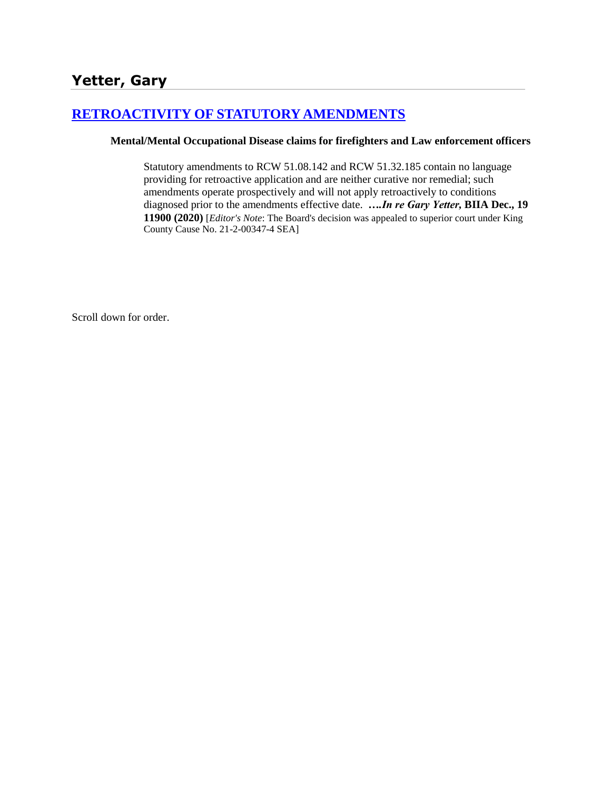# **[RETROACTIVITY OF STATUTORY AMENDMENTS](http://www.biia.wa.gov/SDSubjectIndex.html#RETROACTIVITY_OF_STATUTORY_AMENDMENTS)**

#### **Mental/Mental Occupational Disease claims for firefighters and Law enforcement officers**

Statutory amendments to RCW 51.08.142 and RCW 51.32.185 contain no language providing for retroactive application and are neither curative nor remedial; such amendments operate prospectively and will not apply retroactively to conditions diagnosed prior to the amendments effective date. *….In re Gary Yetter,* **BIIA Dec., 19 11900 (2020)** [*Editor's Note*: The Board's decision was appealed to superior court under King County Cause No. 21-2-00347-4 SEA]

Scroll down for order.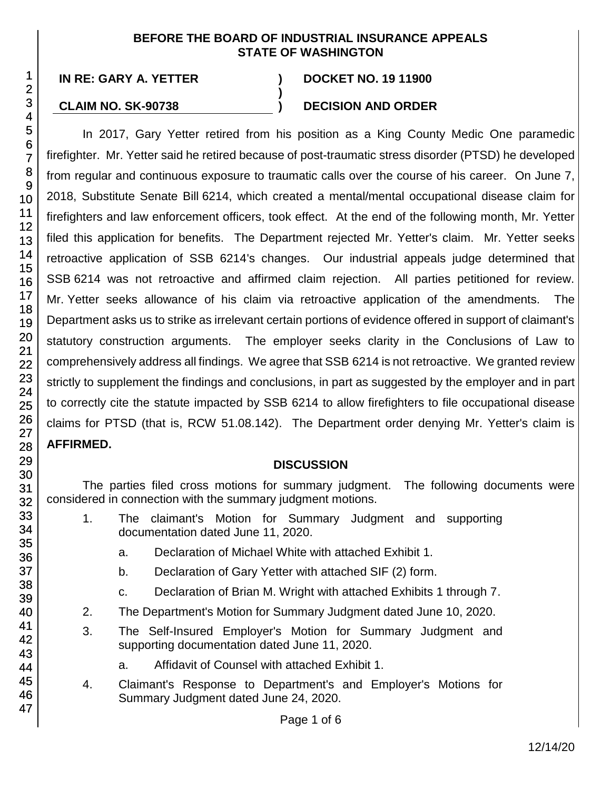#### **BEFORE THE BOARD OF INDUSTRIAL INSURANCE APPEALS STATE OF WASHINGTON**

**)**

## **IN RE: GARY A. YETTER ) DOCKET NO. 19 11900**

## **CLAIM NO. SK-90738 ) DECISION AND ORDER**

In 2017, Gary Yetter retired from his position as a King County Medic One paramedic firefighter. Mr. Yetter said he retired because of post-traumatic stress disorder (PTSD) he developed from regular and continuous exposure to traumatic calls over the course of his career. On June 7, 2018, Substitute Senate Bill 6214, which created a mental/mental occupational disease claim for firefighters and law enforcement officers, took effect. At the end of the following month, Mr. Yetter filed this application for benefits. The Department rejected Mr. Yetter's claim. Mr. Yetter seeks retroactive application of SSB 6214's changes. Our industrial appeals judge determined that SSB 6214 was not retroactive and affirmed claim rejection. All parties petitioned for review. Mr. Yetter seeks allowance of his claim via retroactive application of the amendments. The Department asks us to strike as irrelevant certain portions of evidence offered in support of claimant's statutory construction arguments. The employer seeks clarity in the Conclusions of Law to comprehensively address all findings. We agree that SSB 6214 is not retroactive. We granted review strictly to supplement the findings and conclusions, in part as suggested by the employer and in part to correctly cite the statute impacted by SSB 6214 to allow firefighters to file occupational disease claims for PTSD (that is, RCW 51.08.142). The Department order denying Mr. Yetter's claim is **AFFIRMED.**

## **DISCUSSION**

The parties filed cross motions for summary judgment. The following documents were considered in connection with the summary judgment motions.

- 1. The claimant's Motion for Summary Judgment and supporting documentation dated June 11, 2020.
	- a. Declaration of Michael White with attached Exhibit 1.
	- b. Declaration of Gary Yetter with attached SIF (2) form.
	- c. Declaration of Brian M. Wright with attached Exhibits 1 through 7.
- 2. The Department's Motion for Summary Judgment dated June 10, 2020.
- 3. The Self-Insured Employer's Motion for Summary Judgment and supporting documentation dated June 11, 2020.
	- a. Affidavit of Counsel with attached Exhibit 1.
- 4. Claimant's Response to Department's and Employer's Motions for Summary Judgment dated June 24, 2020.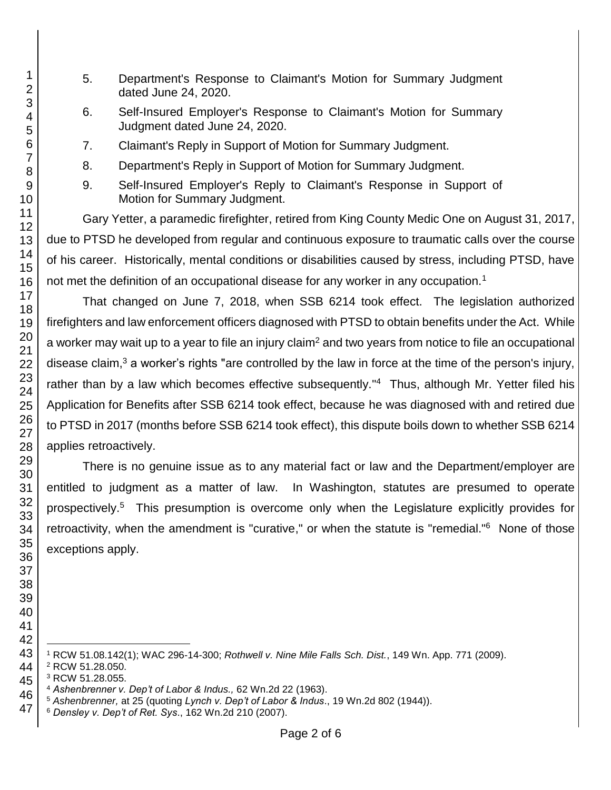- 5. Department's Response to Claimant's Motion for Summary Judgment dated June 24, 2020.
- 6. Self-Insured Employer's Response to Claimant's Motion for Summary Judgment dated June 24, 2020.
- 7. Claimant's Reply in Support of Motion for Summary Judgment.
- 8. Department's Reply in Support of Motion for Summary Judgment.
- 9. Self-Insured Employer's Reply to Claimant's Response in Support of Motion for Summary Judgment.

Gary Yetter, a paramedic firefighter, retired from King County Medic One on August 31, 2017, due to PTSD he developed from regular and continuous exposure to traumatic calls over the course of his career. Historically, mental conditions or disabilities caused by stress, including PTSD, have not met the definition of an occupational disease for any worker in any occupation.<sup>1</sup>

That changed on June 7, 2018, when SSB 6214 took effect. The legislation authorized firefighters and law enforcement officers diagnosed with PTSD to obtain benefits under the Act. While a worker may wait up to a year to file an injury claim<sup>2</sup> and two years from notice to file an occupational disease claim, a worker's rights "are controlled by the law in force at the time of the person's injury, rather than by a law which becomes effective subsequently."<sup>4</sup> Thus, although Mr. Yetter filed his Application for Benefits after SSB 6214 took effect, because he was diagnosed with and retired due to PTSD in 2017 (months before SSB 6214 took effect), this dispute boils down to whether SSB 6214 applies retroactively.

There is no genuine issue as to any material fact or law and the Department/employer are entitled to judgment as a matter of law. In Washington, statutes are presumed to operate prospectively.<sup>5</sup> This presumption is overcome only when the Legislature explicitly provides for retroactivity, when the amendment is "curative," or when the statute is "remedial."<sup>6</sup> None of those exceptions apply.

RCW 51.08.142(1); WAC 296-14-300; *Rothwell v. Nine Mile Falls Sch. Dist.*, 149 Wn. App. 771 (2009).

RCW 51.28.050.

RCW 51.28.055.

*Ashenbrenner v. Dep't of Labor & Indus.,* 62 Wn.2d 22 (1963).

*Ashenbrenner,* at 25 (quoting *Lynch v. Dep't of Labor & Indus*., 19 Wn.2d 802 (1944)).

*Densley v. Dep't of Ret. Sys*., 162 Wn.2d 210 (2007).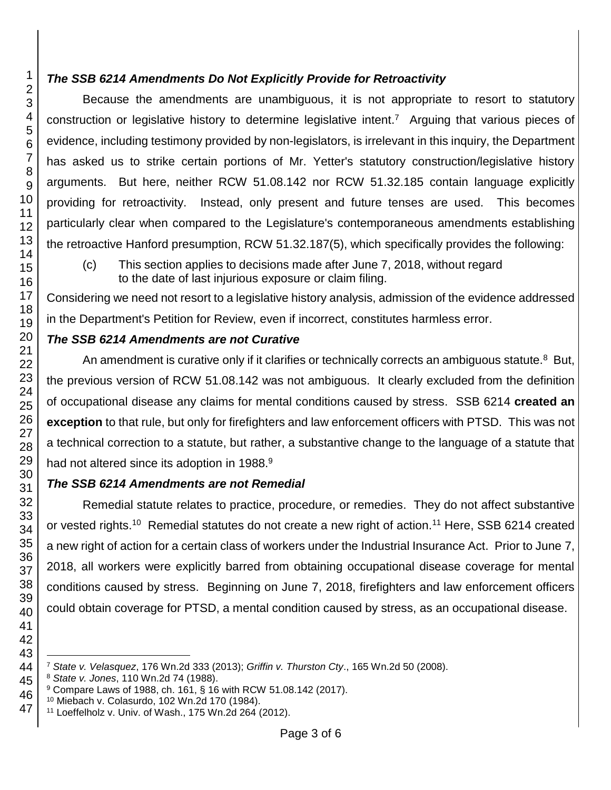## *The SSB 6214 Amendments Do Not Explicitly Provide for Retroactivity*

Because the amendments are unambiguous, it is not appropriate to resort to statutory construction or legislative history to determine legislative intent.<sup>7</sup> Arguing that various pieces of evidence, including testimony provided by non-legislators, is irrelevant in this inquiry, the Department has asked us to strike certain portions of Mr. Yetter's statutory construction/legislative history arguments. But here, neither [RCW 51.08.142](http://app.leg.wa.gov/RCW/default.aspx?cite=51.08.142) nor [RCW 51.32.185](http://app.leg.wa.gov/RCW/default.aspx?cite=51.08.185) contain language explicitly providing for retroactivity. Instead, only present and future tenses are used. This becomes particularly clear when compared to the Legislature's contemporaneous amendments establishing the retroactive Hanford presumption, RCW 51.32.187(5), which specifically provides the following:

(c) This section applies to decisions made after June 7, 2018, without regard to the date of last injurious exposure or claim filing.

Considering we need not resort to a legislative history analysis, admission of the evidence addressed in the Department's Petition for Review, even if incorrect, constitutes harmless error.

## *The SSB 6214 Amendments are not Curative*

An amendment is curative only if it clarifies or technically corrects an ambiguous statute.<sup>8</sup> But, the previous version of RCW 51.08.142 was not ambiguous. It clearly excluded from the definition of occupational disease any claims for mental conditions caused by stress. SSB 6214 **created an exception** to that rule, but only for firefighters and law enforcement officers with PTSD. This was not a technical correction to a statute, but rather, a substantive change to the language of a statute that had not altered since its adoption in 1988.<sup>9</sup>

## *The SSB 6214 Amendments are not Remedial*

Remedial statute relates to practice, procedure, or remedies. They do not affect substantive or vested rights.<sup>10</sup> Remedial statutes do not create a new right of action.<sup>11</sup> Here, SSB 6214 created a new right of action for a certain class of workers under the Industrial Insurance Act. Prior to June 7, 2018, all workers were explicitly barred from obtaining occupational disease coverage for mental conditions caused by stress. Beginning on June 7, 2018, firefighters and law enforcement officers could obtain coverage for PTSD, a mental condition caused by stress, as an occupational disease.

l *State v. Velasquez*, 176 Wn.2d 333 (2013); *Griffin v. Thurston Cty*., 165 Wn.2d 50 (2008).

*State v. Jones*, 110 Wn.2d 74 (1988).

Compare Laws of 1988, ch. 161, § 16 with RCW 51.08.142 (2017).

Miebach v. Colasurdo, 102 Wn.2d 170 (1984).

Loeffelholz v. Univ. of Wash., 175 Wn.2d 264 (2012).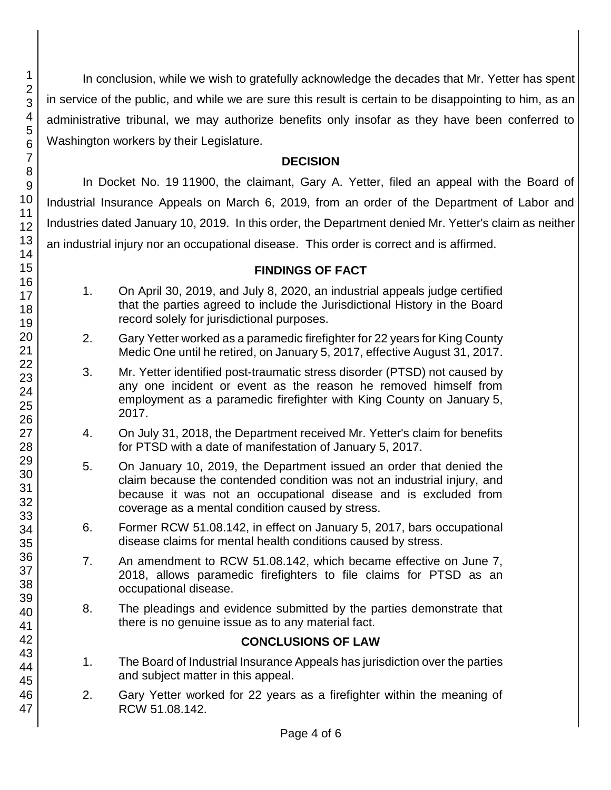In conclusion, while we wish to gratefully acknowledge the decades that Mr. Yetter has spent in service of the public, and while we are sure this result is certain to be disappointing to him, as an administrative tribunal, we may authorize benefits only insofar as they have been conferred to Washington workers by their Legislature.

#### **DECISION**

In Docket No. 19 11900, the claimant, Gary A. Yetter, filed an appeal with the Board of Industrial Insurance Appeals on March 6, 2019, from an order of the Department of Labor and Industries dated January 10, 2019. In this order, the Department denied Mr. Yetter's claim as neither an industrial injury nor an occupational disease. This order is correct and is affirmed.

## **FINDINGS OF FACT**

- 1. On April 30, 2019, and July 8, 2020, an industrial appeals judge certified that the parties agreed to include the Jurisdictional History in the Board record solely for jurisdictional purposes.
- 2. Gary Yetter worked as a paramedic firefighter for 22 years for King County Medic One until he retired, on January 5, 2017, effective August 31, 2017.
- 3. Mr. Yetter identified post-traumatic stress disorder (PTSD) not caused by any one incident or event as the reason he removed himself from employment as a paramedic firefighter with King County on January 5, 2017.
- 4. On July 31, 2018, the Department received Mr. Yetter's claim for benefits for PTSD with a date of manifestation of January 5, 2017.
- 5. On January 10, 2019, the Department issued an order that denied the claim because the contended condition was not an industrial injury, and because it was not an occupational disease and is excluded from coverage as a mental condition caused by stress.
- 6. Former RCW 51.08.142, in effect on January 5, 2017, bars occupational disease claims for mental health conditions caused by stress.
- 7. An amendment to RCW 51.08.142, which became effective on June 7, 2018, allows paramedic firefighters to file claims for PTSD as an occupational disease.
- 8. The pleadings and evidence submitted by the parties demonstrate that there is no genuine issue as to any material fact.

## **CONCLUSIONS OF LAW**

- 1. The Board of Industrial Insurance Appeals has jurisdiction over the parties and subject matter in this appeal.
- 2. Gary Yetter worked for 22 years as a firefighter within the meaning of RCW 51.08.142.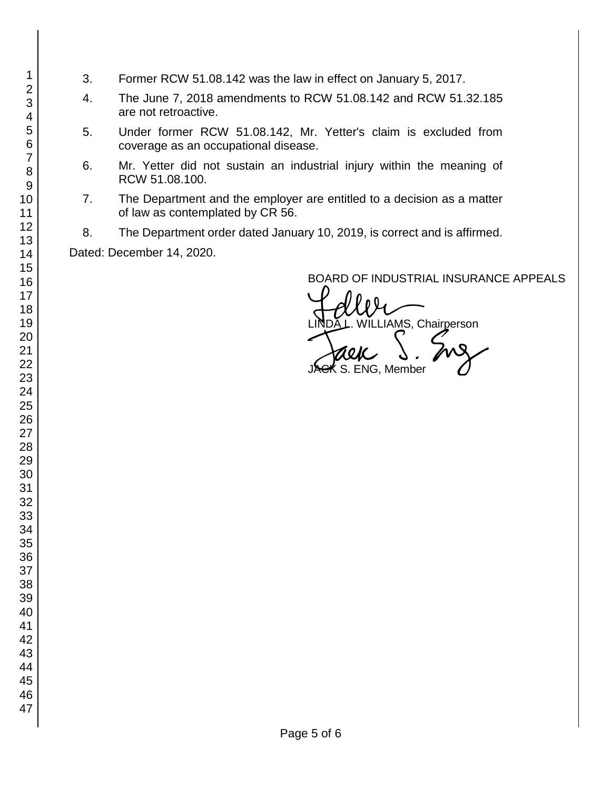- 3. Former RCW 51.08.142 was the law in effect on January 5, 2017.
- 4. The June 7, 2018 amendments to RCW 51.08.142 and RCW 51.32.185 are not retroactive.
- 5. Under former RCW 51.08.142, Mr. Yetter's claim is excluded from coverage as an occupational disease.
- 6. Mr. Yetter did not sustain an industrial injury within the meaning of RCW 51.08.100.
- 7. The Department and the employer are entitled to a decision as a matter of law as contemplated by CR 56.
- 8. The Department order dated January 10, 2019, is correct and is affirmed.

Dated: December 14, 2020.

BOARD OF INDUSTRIAL INSURANCE APPEALS

BOARD OF INDUSTRIAL INSURAN<br>LINDA L. WILLIAMS, Chairperson<br>JAGK S. ENG, Member

ENG, Member